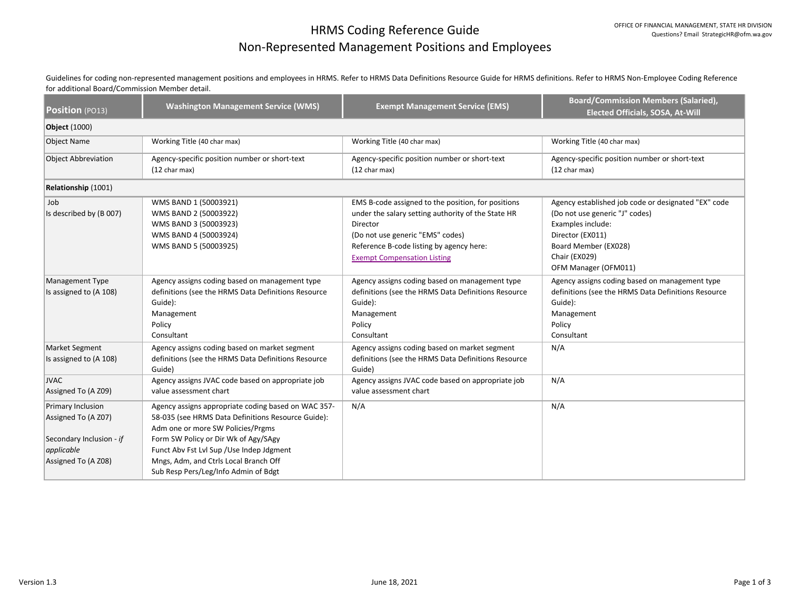## HRMS Coding Reference Guide Non-Represented Management Positions and Employees

Guidelines for coding non-represented management positions and employees in HRMS. Refer to HRMS Data Definitions Resource Guide for HRMS definitions. Refer to HRMS Non-Employee Coding Reference for additional Board/Commission Member detail.

| Position (PO13)                                                                                           | <b>Washington Management Service (WMS)</b>                                                                                                                                                                                                                                                                           | <b>Exempt Management Service (EMS)</b>                                                                                                                                                                                                     | <b>Board/Commission Members (Salaried),</b><br><b>Elected Officials, SOSA, At-Will</b>                                                                                                          |  |  |  |
|-----------------------------------------------------------------------------------------------------------|----------------------------------------------------------------------------------------------------------------------------------------------------------------------------------------------------------------------------------------------------------------------------------------------------------------------|--------------------------------------------------------------------------------------------------------------------------------------------------------------------------------------------------------------------------------------------|-------------------------------------------------------------------------------------------------------------------------------------------------------------------------------------------------|--|--|--|
| <b>Object</b> (1000)                                                                                      |                                                                                                                                                                                                                                                                                                                      |                                                                                                                                                                                                                                            |                                                                                                                                                                                                 |  |  |  |
| <b>Object Name</b>                                                                                        | Working Title (40 char max)                                                                                                                                                                                                                                                                                          | Working Title (40 char max)                                                                                                                                                                                                                | Working Title (40 char max)                                                                                                                                                                     |  |  |  |
| <b>Object Abbreviation</b>                                                                                | Agency-specific position number or short-text<br>(12 char max)                                                                                                                                                                                                                                                       | Agency-specific position number or short-text<br>(12 char max)                                                                                                                                                                             | Agency-specific position number or short-text<br>$(12 \text{ char max})$                                                                                                                        |  |  |  |
| Relationship (1001)                                                                                       |                                                                                                                                                                                                                                                                                                                      |                                                                                                                                                                                                                                            |                                                                                                                                                                                                 |  |  |  |
| Job<br>Is described by (B 007)                                                                            | WMS BAND 1 (50003921)<br>WMS BAND 2 (50003922)<br>WMS BAND 3 (50003923)<br>WMS BAND 4 (50003924)<br>WMS BAND 5 (50003925)                                                                                                                                                                                            | EMS B-code assigned to the position, for positions<br>under the salary setting authority of the State HR<br>Director<br>(Do not use generic "EMS" codes)<br>Reference B-code listing by agency here:<br><b>Exempt Compensation Listing</b> | Agency established job code or designated "EX" code<br>(Do not use generic "J" codes)<br>Examples include:<br>Director (EX011)<br>Board Member (EX028)<br>Chair (EX029)<br>OFM Manager (OFM011) |  |  |  |
| Management Type<br>Is assigned to (A 108)                                                                 | Agency assigns coding based on management type<br>definitions (see the HRMS Data Definitions Resource<br>Guide):<br>Management<br>Policy<br>Consultant                                                                                                                                                               | Agency assigns coding based on management type<br>definitions (see the HRMS Data Definitions Resource<br>Guide):<br>Management<br>Policy<br>Consultant                                                                                     | Agency assigns coding based on management type<br>definitions (see the HRMS Data Definitions Resource<br>Guide):<br>Management<br>Policy<br>Consultant                                          |  |  |  |
| <b>Market Segment</b><br>Is assigned to (A 108)                                                           | Agency assigns coding based on market segment<br>definitions (see the HRMS Data Definitions Resource<br>Guide)                                                                                                                                                                                                       | Agency assigns coding based on market segment<br>definitions (see the HRMS Data Definitions Resource<br>Guide)                                                                                                                             | N/A                                                                                                                                                                                             |  |  |  |
| <b>JVAC</b><br>Assigned To (A Z09)                                                                        | Agency assigns JVAC code based on appropriate job<br>value assessment chart                                                                                                                                                                                                                                          | Agency assigns JVAC code based on appropriate job<br>value assessment chart                                                                                                                                                                | N/A                                                                                                                                                                                             |  |  |  |
| Primary Inclusion<br>Assigned To (A Z07)<br>Secondary Inclusion - if<br>applicable<br>Assigned To (A Z08) | Agency assigns appropriate coding based on WAC 357-<br>58-035 (see HRMS Data Definitions Resource Guide):<br>Adm one or more SW Policies/Prgms<br>Form SW Policy or Dir Wk of Agy/SAgy<br>Funct Abv Fst Lvl Sup / Use Indep Jdgment<br>Mngs, Adm, and Ctrls Local Branch Off<br>Sub Resp Pers/Leg/Info Admin of Bdgt | N/A                                                                                                                                                                                                                                        | N/A                                                                                                                                                                                             |  |  |  |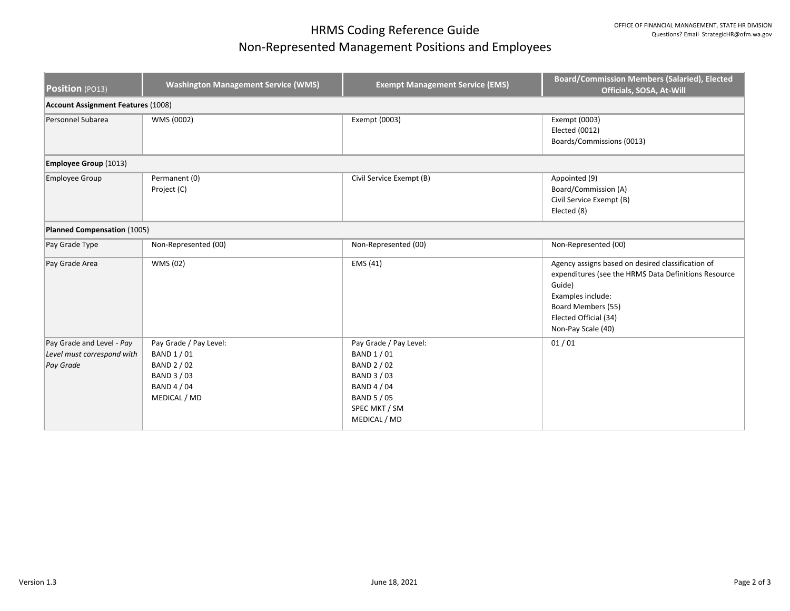## HRMS Coding Reference Guide Non-Represented Management Positions and Employees

| Position (PO13)                                                      | <b>Washington Management Service (WMS)</b>                                                         | <b>Exempt Management Service (EMS)</b>                                                                                                           | <b>Board/Commission Members (Salaried), Elected</b><br>Officials, SOSA, At-Will                                                                                                                               |  |  |  |
|----------------------------------------------------------------------|----------------------------------------------------------------------------------------------------|--------------------------------------------------------------------------------------------------------------------------------------------------|---------------------------------------------------------------------------------------------------------------------------------------------------------------------------------------------------------------|--|--|--|
| <b>Account Assignment Features (1008)</b>                            |                                                                                                    |                                                                                                                                                  |                                                                                                                                                                                                               |  |  |  |
| Personnel Subarea                                                    | WMS (0002)                                                                                         | Exempt (0003)                                                                                                                                    | Exempt (0003)<br>Elected (0012)<br>Boards/Commissions (0013)                                                                                                                                                  |  |  |  |
| Employee Group (1013)                                                |                                                                                                    |                                                                                                                                                  |                                                                                                                                                                                                               |  |  |  |
| Employee Group                                                       | Permanent (0)<br>Project (C)                                                                       | Civil Service Exempt (B)                                                                                                                         | Appointed (9)<br>Board/Commission (A)<br>Civil Service Exempt (B)<br>Elected (8)                                                                                                                              |  |  |  |
| Planned Compensation (1005)                                          |                                                                                                    |                                                                                                                                                  |                                                                                                                                                                                                               |  |  |  |
| Pay Grade Type                                                       | Non-Represented (00)                                                                               | Non-Represented (00)                                                                                                                             | Non-Represented (00)                                                                                                                                                                                          |  |  |  |
| Pay Grade Area                                                       | WMS (02)                                                                                           | EMS (41)                                                                                                                                         | Agency assigns based on desired classification of<br>expenditures (see the HRMS Data Definitions Resource<br>Guide)<br>Examples include:<br>Board Members (55)<br>Elected Official (34)<br>Non-Pay Scale (40) |  |  |  |
| Pay Grade and Level - Pay<br>Level must correspond with<br>Pay Grade | Pay Grade / Pay Level:<br>BAND 1 / 01<br>BAND 2 / 02<br>BAND 3 / 03<br>BAND 4 / 04<br>MEDICAL / MD | Pay Grade / Pay Level:<br>BAND 1 / 01<br><b>BAND 2 / 02</b><br>BAND 3 / 03<br><b>BAND 4 / 04</b><br>BAND 5 / 05<br>SPEC MKT / SM<br>MEDICAL / MD | 01/01                                                                                                                                                                                                         |  |  |  |